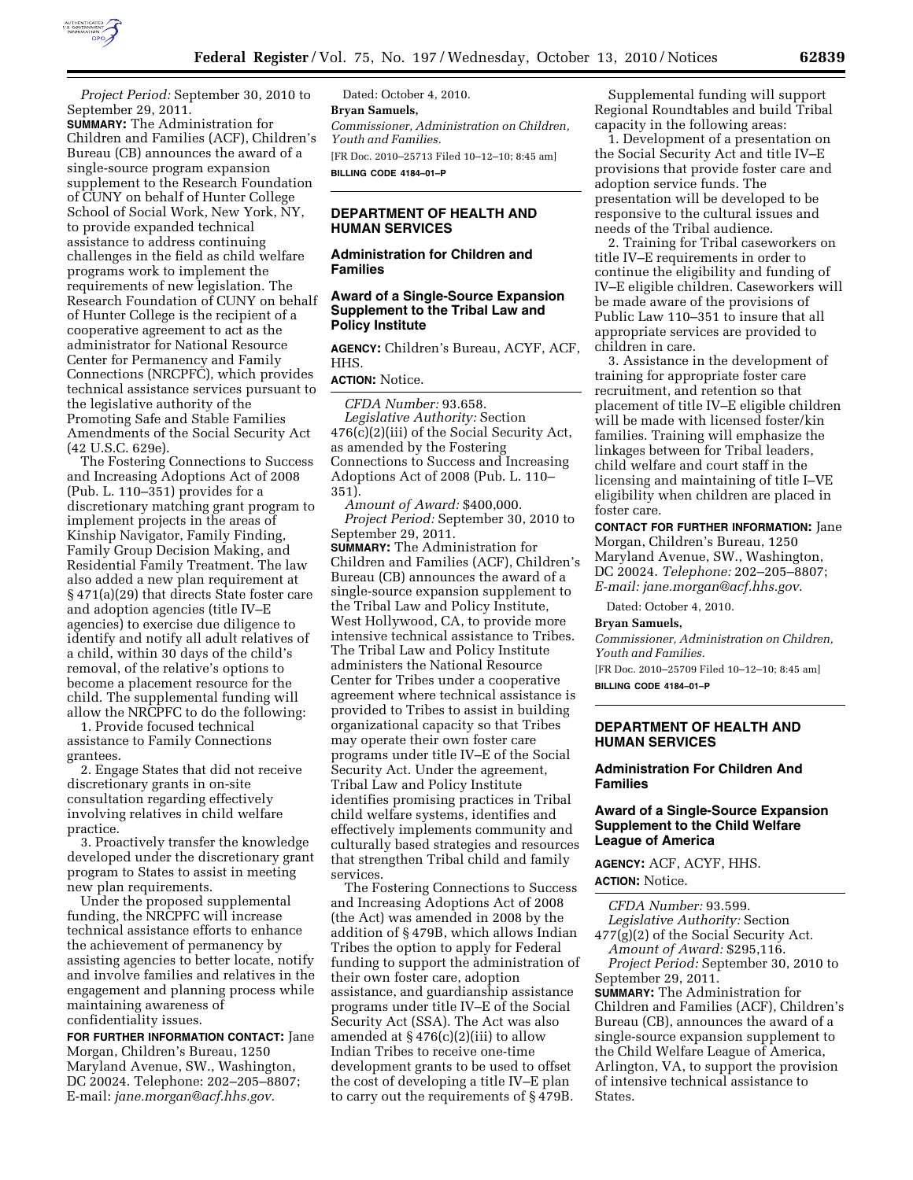

*Project Period:* September 30, 2010 to September 29, 2011.

**SUMMARY:** The Administration for Children and Families (ACF), Children's Bureau (CB) announces the award of a single-source program expansion supplement to the Research Foundation of CUNY on behalf of Hunter College School of Social Work, New York, NY, to provide expanded technical assistance to address continuing challenges in the field as child welfare programs work to implement the requirements of new legislation. The Research Foundation of CUNY on behalf of Hunter College is the recipient of a cooperative agreement to act as the administrator for National Resource Center for Permanency and Family Connections (NRCPFC), which provides technical assistance services pursuant to the legislative authority of the Promoting Safe and Stable Families Amendments of the Social Security Act (42 U.S.C. 629e).

The Fostering Connections to Success and Increasing Adoptions Act of 2008 (Pub. L. 110–351) provides for a discretionary matching grant program to implement projects in the areas of Kinship Navigator, Family Finding, Family Group Decision Making, and Residential Family Treatment. The law also added a new plan requirement at § 471(a)(29) that directs State foster care and adoption agencies (title IV–E agencies) to exercise due diligence to identify and notify all adult relatives of a child, within 30 days of the child's removal, of the relative's options to become a placement resource for the child. The supplemental funding will allow the NRCPFC to do the following:

1. Provide focused technical assistance to Family Connections grantees.

2. Engage States that did not receive discretionary grants in on-site consultation regarding effectively involving relatives in child welfare practice.

3. Proactively transfer the knowledge developed under the discretionary grant program to States to assist in meeting new plan requirements.

Under the proposed supplemental funding, the NRCPFC will increase technical assistance efforts to enhance the achievement of permanency by assisting agencies to better locate, notify and involve families and relatives in the engagement and planning process while maintaining awareness of confidentiality issues.

**FOR FURTHER INFORMATION CONTACT:** Jane Morgan, Children's Bureau, 1250 Maryland Avenue, SW., Washington, DC 20024. Telephone: 202–205–8807; E-mail: *[jane.morgan@acf.hhs.gov.](mailto:jane.morgan@acf.hhs.gov)* 

Dated: October 4, 2010. **Bryan Samuels,**  *Commissioner, Administration on Children, Youth and Families.*  [FR Doc. 2010–25713 Filed 10–12–10; 8:45 am] **BILLING CODE 4184–01–P** 

### **DEPARTMENT OF HEALTH AND HUMAN SERVICES**

#### **Administration for Children and Families**

#### **Award of a Single-Source Expansion Supplement to the Tribal Law and Policy Institute**

**AGENCY:** Children's Bureau, ACYF, ACF, HHS.

**ACTION:** Notice.

*CFDA Number:* 93.658. *Legislative Authority:* Section 476(c)(2)(iii) of the Social Security Act, as amended by the Fostering Connections to Success and Increasing Adoptions Act of 2008 (Pub. L. 110– 351).

*Amount of Award:* \$400,000. *Project Period:* September 30, 2010 to September 29, 2011. **SUMMARY:** The Administration for Children and Families (ACF), Children's Bureau (CB) announces the award of a single-source expansion supplement to the Tribal Law and Policy Institute, West Hollywood, CA, to provide more intensive technical assistance to Tribes. The Tribal Law and Policy Institute administers the National Resource Center for Tribes under a cooperative agreement where technical assistance is provided to Tribes to assist in building organizational capacity so that Tribes may operate their own foster care programs under title IV–E of the Social Security Act. Under the agreement, Tribal Law and Policy Institute identifies promising practices in Tribal child welfare systems, identifies and effectively implements community and culturally based strategies and resources that strengthen Tribal child and family services.

The Fostering Connections to Success and Increasing Adoptions Act of 2008 (the Act) was amended in 2008 by the addition of § 479B, which allows Indian Tribes the option to apply for Federal funding to support the administration of their own foster care, adoption assistance, and guardianship assistance programs under title IV–E of the Social Security Act (SSA). The Act was also amended at  $\S 476(c)(2)(iii)$  to allow Indian Tribes to receive one-time development grants to be used to offset the cost of developing a title IV–E plan to carry out the requirements of § 479B.

Supplemental funding will support Regional Roundtables and build Tribal capacity in the following areas:

1. Development of a presentation on the Social Security Act and title IV–E provisions that provide foster care and adoption service funds. The presentation will be developed to be responsive to the cultural issues and needs of the Tribal audience.

2. Training for Tribal caseworkers on title IV–E requirements in order to continue the eligibility and funding of IV–E eligible children. Caseworkers will be made aware of the provisions of Public Law 110–351 to insure that all appropriate services are provided to children in care.

3. Assistance in the development of training for appropriate foster care recruitment, and retention so that placement of title IV–E eligible children will be made with licensed foster/kin families. Training will emphasize the linkages between for Tribal leaders, child welfare and court staff in the licensing and maintaining of title I–VE eligibility when children are placed in foster care.

# **CONTACT FOR FURTHER INFORMATION:** Jane Morgan, Children's Bureau, 1250

Maryland Avenue, SW., Washington, DC 20024. *Telephone:* 202–205–8807; *E-mail: [jane.morgan@acf.hhs.gov](mailto:jane.morgan@acf.hhs.gov)*.

Dated: October 4, 2010.

#### **Bryan Samuels,**

*Commissioner, Administration on Children, Youth and Families.* 

[FR Doc. 2010–25709 Filed 10–12–10; 8:45 am] **BILLING CODE 4184–01–P** 

### **DEPARTMENT OF HEALTH AND HUMAN SERVICES**

## **Administration For Children And Families**

#### **Award of a Single-Source Expansion Supplement to the Child Welfare League of America**

**AGENCY:** ACF, ACYF, HHS. **ACTION:** Notice.

*CFDA Number:* 93.599. *Legislative Authority:* Section 477(g)(2) of the Social Security Act. *Amount of Award:* \$295,116.

*Project Period:* September 30, 2010 to September 29, 2011.

**SUMMARY:** The Administration for Children and Families (ACF), Children's Bureau (CB), announces the award of a single-source expansion supplement to the Child Welfare League of America, Arlington, VA, to support the provision of intensive technical assistance to States.